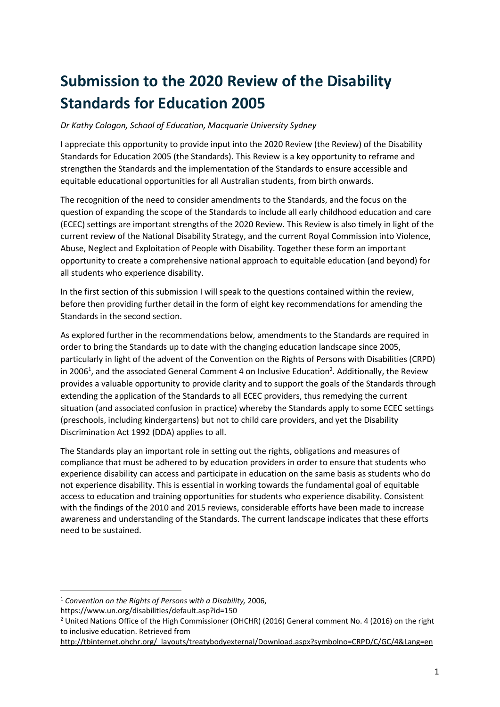# Submission to the 2020 Review of the Disability Standards for Education 2005

Dr Kathy Cologon, School of Education, Macquarie University Sydney

I appreciate this opportunity to provide input into the 2020 Review (the Review) of the Disability Standards for Education 2005 (the Standards). This Review is a key opportunity to reframe and strengthen the Standards and the implementation of the Standards to ensure accessible and equitable educational opportunities for all Australian students, from birth onwards.

The recognition of the need to consider amendments to the Standards, and the focus on the question of expanding the scope of the Standards to include all early childhood education and care (ECEC) settings are important strengths of the 2020 Review. This Review is also timely in light of the current review of the National Disability Strategy, and the current Royal Commission into Violence, Abuse, Neglect and Exploitation of People with Disability. Together these form an important opportunity to create a comprehensive national approach to equitable education (and beyond) for all students who experience disability.

In the first section of this submission I will speak to the questions contained within the review, before then providing further detail in the form of eight key recommendations for amending the Standards in the second section.

As explored further in the recommendations below, amendments to the Standards are required in order to bring the Standards up to date with the changing education landscape since 2005, particularly in light of the advent of the Convention on the Rights of Persons with Disabilities (CRPD) in 2006<sup>1</sup>, and the associated General Comment 4 on Inclusive Education<sup>2</sup>. Additionally, the Review provides a valuable opportunity to provide clarity and to support the goals of the Standards through extending the application of the Standards to all ECEC providers, thus remedying the current situation (and associated confusion in practice) whereby the Standards apply to some ECEC settings (preschools, including kindergartens) but not to child care providers, and yet the Disability Discrimination Act 1992 (DDA) applies to all.

The Standards play an important role in setting out the rights, obligations and measures of compliance that must be adhered to by education providers in order to ensure that students who experience disability can access and participate in education on the same basis as students who do not experience disability. This is essential in working towards the fundamental goal of equitable access to education and training opportunities for students who experience disability. Consistent with the findings of the 2010 and 2015 reviews, considerable efforts have been made to increase awareness and understanding of the Standards. The current landscape indicates that these efforts need to be sustained.

https://www.un.org/disabilities/default.asp?id=150

 $1$  Convention on the Rights of Persons with a Disability, 2006,

<sup>&</sup>lt;sup>2</sup> United Nations Office of the High Commissioner (OHCHR) (2016) General comment No. 4 (2016) on the right to inclusive education. Retrieved from

http://tbinternet.ohchr.org/\_layouts/treatybodyexternal/Download.aspx?symbolno=CRPD/C/GC/4&Lang=en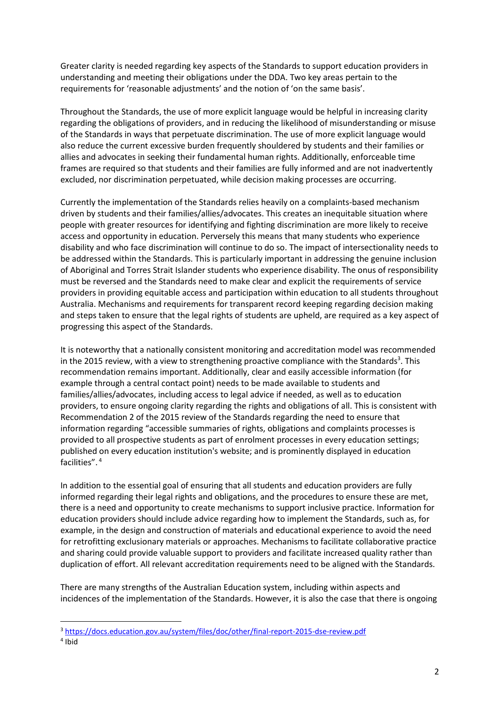Greater clarity is needed regarding key aspects of the Standards to support education providers in understanding and meeting their obligations under the DDA. Two key areas pertain to the requirements for 'reasonable adjustments' and the notion of 'on the same basis'.

Throughout the Standards, the use of more explicit language would be helpful in increasing clarity regarding the obligations of providers, and in reducing the likelihood of misunderstanding or misuse of the Standards in ways that perpetuate discrimination. The use of more explicit language would also reduce the current excessive burden frequently shouldered by students and their families or allies and advocates in seeking their fundamental human rights. Additionally, enforceable time frames are required so that students and their families are fully informed and are not inadvertently excluded, nor discrimination perpetuated, while decision making processes are occurring.

Currently the implementation of the Standards relies heavily on a complaints-based mechanism driven by students and their families/allies/advocates. This creates an inequitable situation where people with greater resources for identifying and fighting discrimination are more likely to receive access and opportunity in education. Perversely this means that many students who experience disability and who face discrimination will continue to do so. The impact of intersectionality needs to be addressed within the Standards. This is particularly important in addressing the genuine inclusion of Aboriginal and Torres Strait Islander students who experience disability. The onus of responsibility must be reversed and the Standards need to make clear and explicit the requirements of service providers in providing equitable access and participation within education to all students throughout Australia. Mechanisms and requirements for transparent record keeping regarding decision making and steps taken to ensure that the legal rights of students are upheld, are required as a key aspect of progressing this aspect of the Standards.

It is noteworthy that a nationally consistent monitoring and accreditation model was recommended in the 2015 review, with a view to strengthening proactive compliance with the Standards<sup>3</sup>. This recommendation remains important. Additionally, clear and easily accessible information (for example through a central contact point) needs to be made available to students and families/allies/advocates, including access to legal advice if needed, as well as to education providers, to ensure ongoing clarity regarding the rights and obligations of all. This is consistent with Recommendation 2 of the 2015 review of the Standards regarding the need to ensure that information regarding "accessible summaries of rights, obligations and complaints processes is provided to all prospective students as part of enrolment processes in every education settings; published on every education institution's website; and is prominently displayed in education facilities".<sup>4</sup>

In addition to the essential goal of ensuring that all students and education providers are fully informed regarding their legal rights and obligations, and the procedures to ensure these are met, there is a need and opportunity to create mechanisms to support inclusive practice. Information for education providers should include advice regarding how to implement the Standards, such as, for example, in the design and construction of materials and educational experience to avoid the need for retrofitting exclusionary materials or approaches. Mechanisms to facilitate collaborative practice and sharing could provide valuable support to providers and facilitate increased quality rather than duplication of effort. All relevant accreditation requirements need to be aligned with the Standards.

There are many strengths of the Australian Education system, including within aspects and incidences of the implementation of the Standards. However, it is also the case that there is ongoing

<sup>3</sup> https://docs.education.gov.au/system/files/doc/other/final-report-2015-dse-review.pdf

<sup>4</sup> Ibid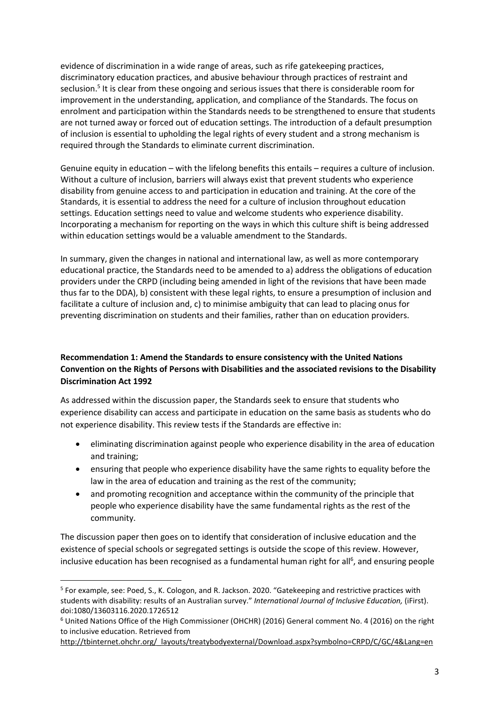evidence of discrimination in a wide range of areas, such as rife gatekeeping practices, discriminatory education practices, and abusive behaviour through practices of restraint and seclusion.<sup>5</sup> It is clear from these ongoing and serious issues that there is considerable room for improvement in the understanding, application, and compliance of the Standards. The focus on enrolment and participation within the Standards needs to be strengthened to ensure that students are not turned away or forced out of education settings. The introduction of a default presumption of inclusion is essential to upholding the legal rights of every student and a strong mechanism is required through the Standards to eliminate current discrimination.

Genuine equity in education – with the lifelong benefits this entails – requires a culture of inclusion. Without a culture of inclusion, barriers will always exist that prevent students who experience disability from genuine access to and participation in education and training. At the core of the Standards, it is essential to address the need for a culture of inclusion throughout education settings. Education settings need to value and welcome students who experience disability. Incorporating a mechanism for reporting on the ways in which this culture shift is being addressed within education settings would be a valuable amendment to the Standards.

In summary, given the changes in national and international law, as well as more contemporary educational practice, the Standards need to be amended to a) address the obligations of education providers under the CRPD (including being amended in light of the revisions that have been made thus far to the DDA), b) consistent with these legal rights, to ensure a presumption of inclusion and facilitate a culture of inclusion and, c) to minimise ambiguity that can lead to placing onus for preventing discrimination on students and their families, rather than on education providers.

# Recommendation 1: Amend the Standards to ensure consistency with the United Nations Convention on the Rights of Persons with Disabilities and the associated revisions to the Disability Discrimination Act 1992

As addressed within the discussion paper, the Standards seek to ensure that students who experience disability can access and participate in education on the same basis as students who do not experience disability. This review tests if the Standards are effective in:

- eliminating discrimination against people who experience disability in the area of education and training;
- ensuring that people who experience disability have the same rights to equality before the law in the area of education and training as the rest of the community;
- and promoting recognition and acceptance within the community of the principle that people who experience disability have the same fundamental rights as the rest of the community.

The discussion paper then goes on to identify that consideration of inclusive education and the existence of special schools or segregated settings is outside the scope of this review. However, inclusive education has been recognised as a fundamental human right for all<sup>6</sup>, and ensuring people

<sup>&</sup>lt;sup>5</sup> For example, see: Poed, S., K. Cologon, and R. Jackson. 2020. "Gatekeeping and restrictive practices with students with disability: results of an Australian survey." International Journal of Inclusive Education, (iFirst). doi:1080/13603116.2020.1726512

<sup>&</sup>lt;sup>6</sup> United Nations Office of the High Commissioner (OHCHR) (2016) General comment No. 4 (2016) on the right to inclusive education. Retrieved from

http://tbinternet.ohchr.org/\_layouts/treatybodyexternal/Download.aspx?symbolno=CRPD/C/GC/4&Lang=en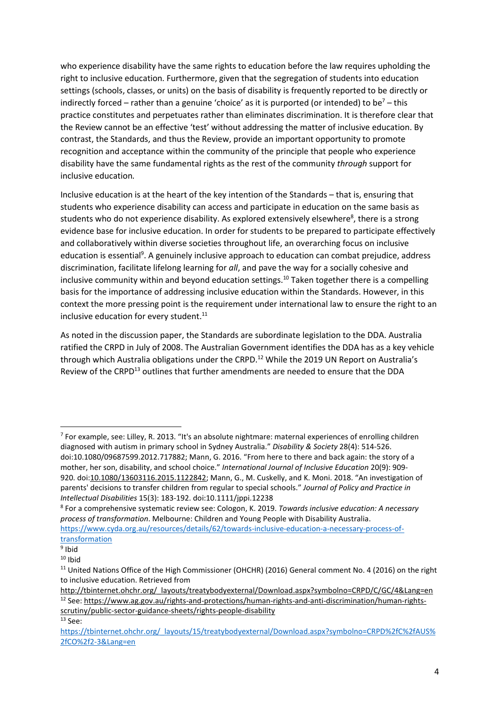who experience disability have the same rights to education before the law requires upholding the right to inclusive education. Furthermore, given that the segregation of students into education settings (schools, classes, or units) on the basis of disability is frequently reported to be directly or indirectly forced – rather than a genuine 'choice' as it is purported (or intended) to be<sup>7</sup> – this practice constitutes and perpetuates rather than eliminates discrimination. It is therefore clear that the Review cannot be an effective 'test' without addressing the matter of inclusive education. By contrast, the Standards, and thus the Review, provide an important opportunity to promote recognition and acceptance within the community of the principle that people who experience disability have the same fundamental rights as the rest of the community through support for inclusive education.

Inclusive education is at the heart of the key intention of the Standards – that is, ensuring that students who experience disability can access and participate in education on the same basis as students who do not experience disability. As explored extensively elsewhere<sup>8</sup>, there is a strong evidence base for inclusive education. In order for students to be prepared to participate effectively and collaboratively within diverse societies throughout life, an overarching focus on inclusive education is essential<sup>9</sup>. A genuinely inclusive approach to education can combat prejudice, address discrimination, facilitate lifelong learning for all, and pave the way for a socially cohesive and inclusive community within and beyond education settings.<sup>10</sup> Taken together there is a compelling basis for the importance of addressing inclusive education within the Standards. However, in this context the more pressing point is the requirement under international law to ensure the right to an inclusive education for every student. $^{11}$ 

As noted in the discussion paper, the Standards are subordinate legislation to the DDA. Australia ratified the CRPD in July of 2008. The Australian Government identifies the DDA has as a key vehicle through which Australia obligations under the CRPD.<sup>12</sup> While the 2019 UN Report on Australia's Review of the CRPD<sup>13</sup> outlines that further amendments are needed to ensure that the DDA

scrutiny/public-sector-guidance-sheets/rights-people-disability  $13$  See:

<sup>&</sup>lt;sup>7</sup> For example, see: Lilley, R. 2013. "It's an absolute nightmare: maternal experiences of enrolling children diagnosed with autism in primary school in Sydney Australia." Disability & Society 28(4): 514-526. doi:10.1080/09687599.2012.717882; Mann, G. 2016. "From here to there and back again: the story of a mother, her son, disability, and school choice." International Journal of Inclusive Education 20(9): 909- 920. doi:10.1080/13603116.2015.1122842; Mann, G., M. Cuskelly, and K. Moni. 2018. "An investigation of parents' decisions to transfer children from regular to special schools." Journal of Policy and Practice in Intellectual Disabilities 15(3): 183-192. doi:10.1111/jppi.12238

<sup>&</sup>lt;sup>8</sup> For a comprehensive systematic review see: Cologon, K. 2019. Towards inclusive education: A necessary process of transformation. Melbourne: Children and Young People with Disability Australia. https://www.cyda.org.au/resources/details/62/towards-inclusive-education-a-necessary-process-of-

transformation

<sup>9</sup> Ibid

 $10$  Ihid

<sup>&</sup>lt;sup>11</sup> United Nations Office of the High Commissioner (OHCHR) (2016) General comment No. 4 (2016) on the right to inclusive education. Retrieved from

http://tbinternet.ohchr.org/\_layouts/treatybodyexternal/Download.aspx?symbolno=CRPD/C/GC/4&Lang=en 12 See: https://www.ag.gov.au/rights-and-protections/human-rights-and-anti-discrimination/human-rights-

https://tbinternet.ohchr.org/\_layouts/15/treatybodyexternal/Download.aspx?symbolno=CRPD%2fC%2fAUS% 2fCO%2f2-3&Lang=en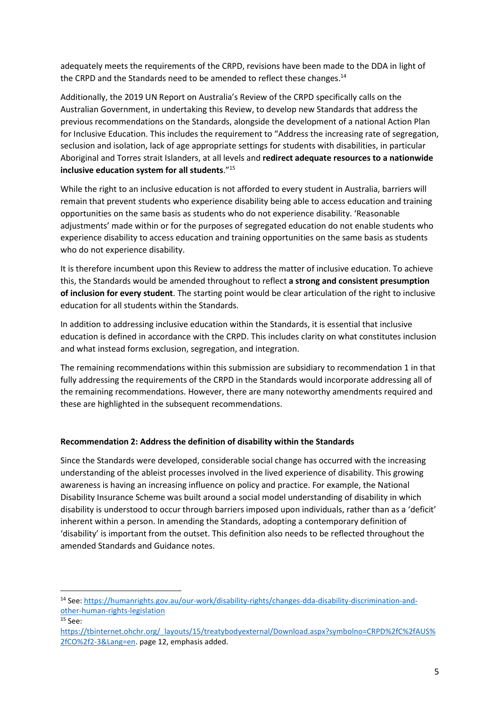adequately meets the requirements of the CRPD, revisions have been made to the DDA in light of the CRPD and the Standards need to be amended to reflect these changes.<sup>14</sup>

Additionally, the 2019 UN Report on Australia's Review of the CRPD specifically calls on the Australian Government, in undertaking this Review, to develop new Standards that address the previous recommendations on the Standards, alongside the development of a national Action Plan for Inclusive Education. This includes the requirement to "Address the increasing rate of segregation, seclusion and isolation, lack of age appropriate settings for students with disabilities, in particular Aboriginal and Torres strait Islanders, at all levels and redirect adequate resources to a nationwide inclusive education system for all students."<sup>15</sup>

While the right to an inclusive education is not afforded to every student in Australia, barriers will remain that prevent students who experience disability being able to access education and training opportunities on the same basis as students who do not experience disability. 'Reasonable adjustments' made within or for the purposes of segregated education do not enable students who experience disability to access education and training opportunities on the same basis as students who do not experience disability.

It is therefore incumbent upon this Review to address the matter of inclusive education. To achieve this, the Standards would be amended throughout to reflect a strong and consistent presumption of inclusion for every student. The starting point would be clear articulation of the right to inclusive education for all students within the Standards.

In addition to addressing inclusive education within the Standards, it is essential that inclusive education is defined in accordance with the CRPD. This includes clarity on what constitutes inclusion and what instead forms exclusion, segregation, and integration.

The remaining recommendations within this submission are subsidiary to recommendation 1 in that fully addressing the requirements of the CRPD in the Standards would incorporate addressing all of the remaining recommendations. However, there are many noteworthy amendments required and these are highlighted in the subsequent recommendations.

## Recommendation 2: Address the definition of disability within the Standards

Since the Standards were developed, considerable social change has occurred with the increasing understanding of the ableist processes involved in the lived experience of disability. This growing awareness is having an increasing influence on policy and practice. For example, the National Disability Insurance Scheme was built around a social model understanding of disability in which disability is understood to occur through barriers imposed upon individuals, rather than as a 'deficit' inherent within a person. In amending the Standards, adopting a contemporary definition of 'disability' is important from the outset. This definition also needs to be reflected throughout the amended Standards and Guidance notes.

<sup>14</sup> See: https://humanrights.gov.au/our-work/disability-rights/changes-dda-disability-discrimination-andother-human-rights-legislation

 $15$  See:

https://tbinternet.ohchr.org/\_layouts/15/treatybodyexternal/Download.aspx?symbolno=CRPD%2fC%2fAUS% 2fCO%2f2-3&Lang=en. page 12, emphasis added.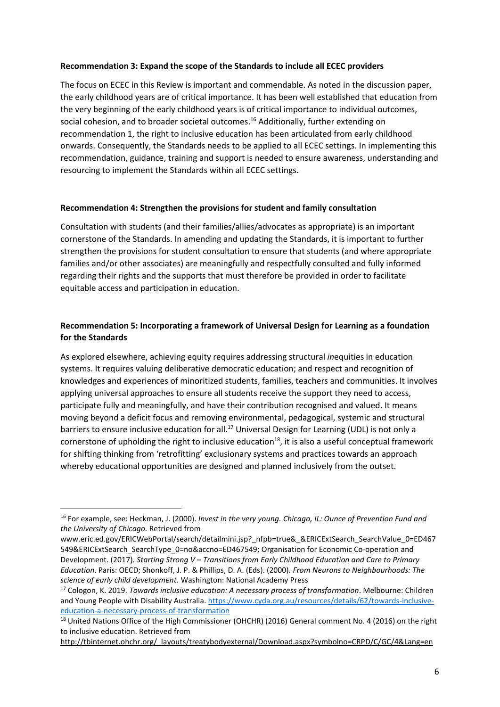### Recommendation 3: Expand the scope of the Standards to include all ECEC providers

The focus on ECEC in this Review is important and commendable. As noted in the discussion paper, the early childhood years are of critical importance. It has been well established that education from the very beginning of the early childhood years is of critical importance to individual outcomes, social cohesion, and to broader societal outcomes.<sup>16</sup> Additionally, further extending on recommendation 1, the right to inclusive education has been articulated from early childhood onwards. Consequently, the Standards needs to be applied to all ECEC settings. In implementing this recommendation, guidance, training and support is needed to ensure awareness, understanding and resourcing to implement the Standards within all ECEC settings.

## Recommendation 4: Strengthen the provisions for student and family consultation

Consultation with students (and their families/allies/advocates as appropriate) is an important cornerstone of the Standards. In amending and updating the Standards, it is important to further strengthen the provisions for student consultation to ensure that students (and where appropriate families and/or other associates) are meaningfully and respectfully consulted and fully informed regarding their rights and the supports that must therefore be provided in order to facilitate equitable access and participation in education.

# Recommendation 5: Incorporating a framework of Universal Design for Learning as a foundation for the Standards

As explored elsewhere, achieving equity requires addressing structural inequities in education systems. It requires valuing deliberative democratic education; and respect and recognition of knowledges and experiences of minoritized students, families, teachers and communities. It involves applying universal approaches to ensure all students receive the support they need to access, participate fully and meaningfully, and have their contribution recognised and valued. It means moving beyond a deficit focus and removing environmental, pedagogical, systemic and structural barriers to ensure inclusive education for all.<sup>17</sup> Universal Design for Learning (UDL) is not only a cornerstone of upholding the right to inclusive education<sup>18</sup>, it is also a useful conceptual framework for shifting thinking from 'retrofitting' exclusionary systems and practices towards an approach whereby educational opportunities are designed and planned inclusively from the outset.

<sup>&</sup>lt;sup>16</sup> For example, see: Heckman, J. (2000). Invest in the very young. Chicago, IL: Ounce of Prevention Fund and the University of Chicago. Retrieved from

www.eric.ed.gov/ERICWebPortal/search/detailmini.jsp?\_nfpb=true&\_&ERICExtSearch\_SearchValue\_0=ED467 549&ERICExtSearch\_SearchType\_0=no&accno=ED467549; Organisation for Economic Co-operation and Development. (2017). Starting Strong V – Transitions from Early Childhood Education and Care to Primary Education. Paris: OECD; Shonkoff, J. P. & Phillips, D. A. (Eds). (2000). From Neurons to Neighbourhoods: The science of early child development. Washington: National Academy Press

<sup>&</sup>lt;sup>17</sup> Cologon, K. 2019. Towards inclusive education: A necessary process of transformation. Melbourne: Children and Young People with Disability Australia. https://www.cyda.org.au/resources/details/62/towards-inclusiveeducation-a-necessary-process-of-transformation

<sup>&</sup>lt;sup>18</sup> United Nations Office of the High Commissioner (OHCHR) (2016) General comment No. 4 (2016) on the right to inclusive education. Retrieved from

http://tbinternet.ohchr.org/\_layouts/treatybodyexternal/Download.aspx?symbolno=CRPD/C/GC/4&Lang=en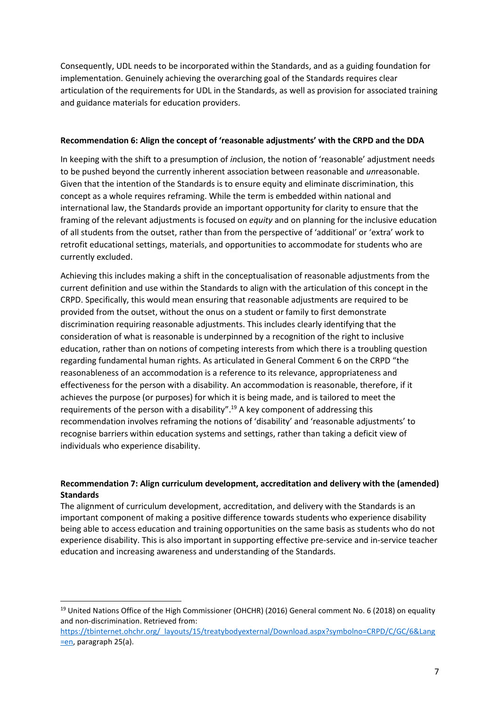Consequently, UDL needs to be incorporated within the Standards, and as a guiding foundation for implementation. Genuinely achieving the overarching goal of the Standards requires clear articulation of the requirements for UDL in the Standards, as well as provision for associated training and guidance materials for education providers.

#### Recommendation 6: Align the concept of 'reasonable adjustments' with the CRPD and the DDA

In keeping with the shift to a presumption of inclusion, the notion of 'reasonable' adjustment needs to be pushed beyond the currently inherent association between reasonable and *unreasonable*. Given that the intention of the Standards is to ensure equity and eliminate discrimination, this concept as a whole requires reframing. While the term is embedded within national and international law, the Standards provide an important opportunity for clarity to ensure that the framing of the relevant adjustments is focused on equity and on planning for the inclusive education of all students from the outset, rather than from the perspective of 'additional' or 'extra' work to retrofit educational settings, materials, and opportunities to accommodate for students who are currently excluded.

Achieving this includes making a shift in the conceptualisation of reasonable adjustments from the current definition and use within the Standards to align with the articulation of this concept in the CRPD. Specifically, this would mean ensuring that reasonable adjustments are required to be provided from the outset, without the onus on a student or family to first demonstrate discrimination requiring reasonable adjustments. This includes clearly identifying that the consideration of what is reasonable is underpinned by a recognition of the right to inclusive education, rather than on notions of competing interests from which there is a troubling question regarding fundamental human rights. As articulated in General Comment 6 on the CRPD "the reasonableness of an accommodation is a reference to its relevance, appropriateness and effectiveness for the person with a disability. An accommodation is reasonable, therefore, if it achieves the purpose (or purposes) for which it is being made, and is tailored to meet the requirements of the person with a disability".<sup>19</sup> A key component of addressing this recommendation involves reframing the notions of 'disability' and 'reasonable adjustments' to recognise barriers within education systems and settings, rather than taking a deficit view of individuals who experience disability.

#### Recommendation 7: Align curriculum development, accreditation and delivery with the (amended) **Standards**

The alignment of curriculum development, accreditation, and delivery with the Standards is an important component of making a positive difference towards students who experience disability being able to access education and training opportunities on the same basis as students who do not experience disability. This is also important in supporting effective pre-service and in-service teacher education and increasing awareness and understanding of the Standards.

<sup>&</sup>lt;sup>19</sup> United Nations Office of the High Commissioner (OHCHR) (2016) General comment No. 6 (2018) on equality and non-discrimination. Retrieved from:

https://tbinternet.ohchr.org/\_layouts/15/treatybodyexternal/Download.aspx?symbolno=CRPD/C/GC/6&Lang =en, paragraph 25(a).